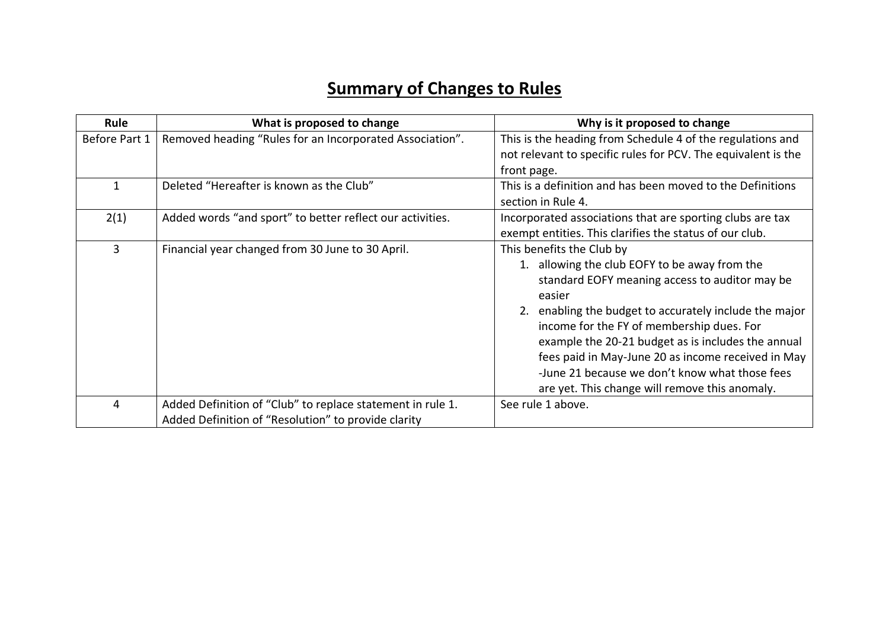## **Summary of Changes to Rules**

| Rule          | What is proposed to change                                 | Why is it proposed to change                                  |
|---------------|------------------------------------------------------------|---------------------------------------------------------------|
| Before Part 1 | Removed heading "Rules for an Incorporated Association".   | This is the heading from Schedule 4 of the regulations and    |
|               |                                                            | not relevant to specific rules for PCV. The equivalent is the |
|               |                                                            | front page.                                                   |
|               | Deleted "Hereafter is known as the Club"                   | This is a definition and has been moved to the Definitions    |
|               |                                                            | section in Rule 4.                                            |
| 2(1)          | Added words "and sport" to better reflect our activities.  | Incorporated associations that are sporting clubs are tax     |
|               |                                                            | exempt entities. This clarifies the status of our club.       |
| 3             | Financial year changed from 30 June to 30 April.           | This benefits the Club by                                     |
|               |                                                            | 1. allowing the club EOFY to be away from the                 |
|               |                                                            | standard EOFY meaning access to auditor may be<br>easier      |
|               |                                                            | 2. enabling the budget to accurately include the major        |
|               |                                                            | income for the FY of membership dues. For                     |
|               |                                                            | example the 20-21 budget as is includes the annual            |
|               |                                                            | fees paid in May-June 20 as income received in May            |
|               |                                                            | -June 21 because we don't know what those fees                |
|               |                                                            | are yet. This change will remove this anomaly.                |
| 4             | Added Definition of "Club" to replace statement in rule 1. | See rule 1 above.                                             |
|               | Added Definition of "Resolution" to provide clarity        |                                                               |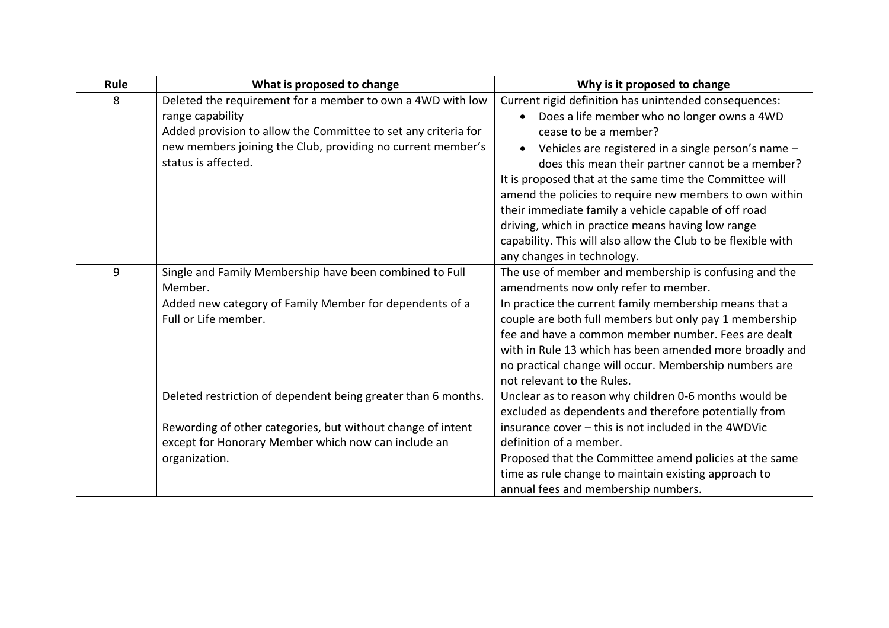| Rule | What is proposed to change                                                                                                                       | Why is it proposed to change                                                                                                                                                                                                                                                                                                                                                                                                                           |
|------|--------------------------------------------------------------------------------------------------------------------------------------------------|--------------------------------------------------------------------------------------------------------------------------------------------------------------------------------------------------------------------------------------------------------------------------------------------------------------------------------------------------------------------------------------------------------------------------------------------------------|
| 8    | Deleted the requirement for a member to own a 4WD with low<br>range capability<br>Added provision to allow the Committee to set any criteria for | Current rigid definition has unintended consequences:<br>• Does a life member who no longer owns a 4WD<br>cease to be a member?                                                                                                                                                                                                                                                                                                                        |
|      | new members joining the Club, providing no current member's<br>status is affected.                                                               | Vehicles are registered in a single person's name -<br>$\bullet$<br>does this mean their partner cannot be a member?<br>It is proposed that at the same time the Committee will<br>amend the policies to require new members to own within<br>their immediate family a vehicle capable of off road<br>driving, which in practice means having low range<br>capability. This will also allow the Club to be flexible with<br>any changes in technology. |
| 9    | Single and Family Membership have been combined to Full<br>Member.<br>Added new category of Family Member for dependents of a                    | The use of member and membership is confusing and the<br>amendments now only refer to member.<br>In practice the current family membership means that a                                                                                                                                                                                                                                                                                                |
|      | Full or Life member.                                                                                                                             | couple are both full members but only pay 1 membership<br>fee and have a common member number. Fees are dealt<br>with in Rule 13 which has been amended more broadly and<br>no practical change will occur. Membership numbers are<br>not relevant to the Rules.                                                                                                                                                                                       |
|      | Deleted restriction of dependent being greater than 6 months.                                                                                    | Unclear as to reason why children 0-6 months would be<br>excluded as dependents and therefore potentially from                                                                                                                                                                                                                                                                                                                                         |
|      | Rewording of other categories, but without change of intent<br>except for Honorary Member which now can include an                               | insurance cover - this is not included in the 4WDVic<br>definition of a member.                                                                                                                                                                                                                                                                                                                                                                        |
|      | organization.                                                                                                                                    | Proposed that the Committee amend policies at the same                                                                                                                                                                                                                                                                                                                                                                                                 |
|      |                                                                                                                                                  | time as rule change to maintain existing approach to<br>annual fees and membership numbers.                                                                                                                                                                                                                                                                                                                                                            |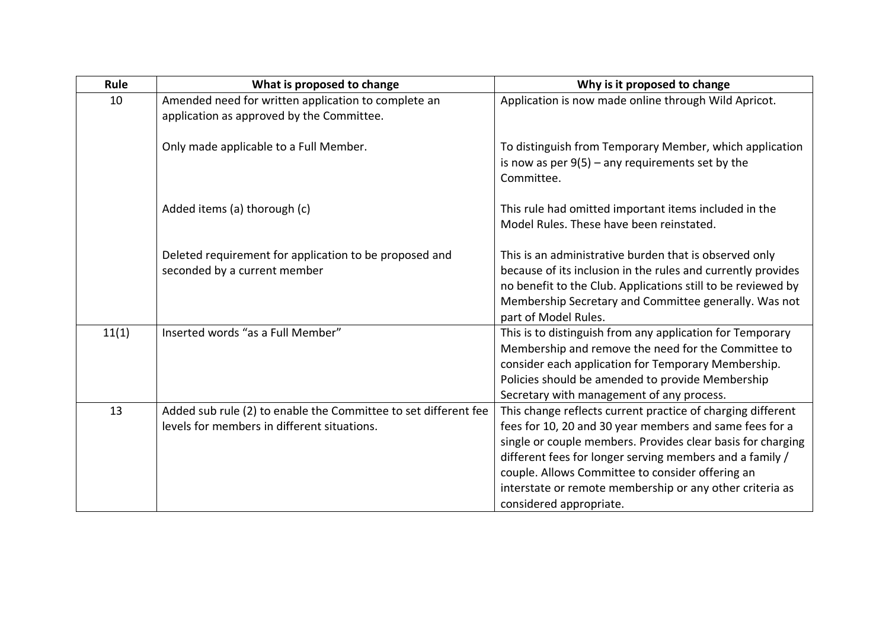| Rule  | What is proposed to change                                                                                     | Why is it proposed to change                                                                                                                                                                                                                                                                                                                                                                 |
|-------|----------------------------------------------------------------------------------------------------------------|----------------------------------------------------------------------------------------------------------------------------------------------------------------------------------------------------------------------------------------------------------------------------------------------------------------------------------------------------------------------------------------------|
| 10    | Amended need for written application to complete an<br>application as approved by the Committee.               | Application is now made online through Wild Apricot.                                                                                                                                                                                                                                                                                                                                         |
|       | Only made applicable to a Full Member.                                                                         | To distinguish from Temporary Member, which application<br>is now as per $9(5)$ – any requirements set by the<br>Committee.                                                                                                                                                                                                                                                                  |
|       | Added items (a) thorough (c)                                                                                   | This rule had omitted important items included in the<br>Model Rules. These have been reinstated.                                                                                                                                                                                                                                                                                            |
|       | Deleted requirement for application to be proposed and<br>seconded by a current member                         | This is an administrative burden that is observed only<br>because of its inclusion in the rules and currently provides<br>no benefit to the Club. Applications still to be reviewed by<br>Membership Secretary and Committee generally. Was not<br>part of Model Rules.                                                                                                                      |
| 11(1) | Inserted words "as a Full Member"                                                                              | This is to distinguish from any application for Temporary<br>Membership and remove the need for the Committee to<br>consider each application for Temporary Membership.<br>Policies should be amended to provide Membership<br>Secretary with management of any process.                                                                                                                     |
| 13    | Added sub rule (2) to enable the Committee to set different fee<br>levels for members in different situations. | This change reflects current practice of charging different<br>fees for 10, 20 and 30 year members and same fees for a<br>single or couple members. Provides clear basis for charging<br>different fees for longer serving members and a family /<br>couple. Allows Committee to consider offering an<br>interstate or remote membership or any other criteria as<br>considered appropriate. |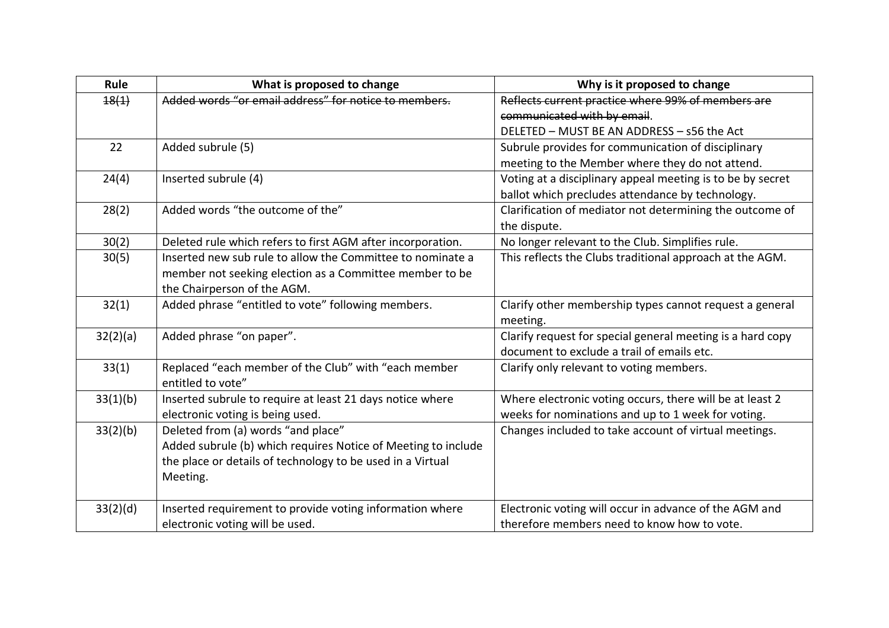| Rule     | What is proposed to change                                    | Why is it proposed to change                               |
|----------|---------------------------------------------------------------|------------------------------------------------------------|
| 18(1)    | Added words "or email address" for notice to members.         | Reflects current practice where 99% of members are         |
|          |                                                               | communicated with by email.                                |
|          |                                                               | DELETED - MUST BE AN ADDRESS - s56 the Act                 |
| 22       | Added subrule (5)                                             | Subrule provides for communication of disciplinary         |
|          |                                                               | meeting to the Member where they do not attend.            |
| 24(4)    | Inserted subrule (4)                                          | Voting at a disciplinary appeal meeting is to be by secret |
|          |                                                               | ballot which precludes attendance by technology.           |
| 28(2)    | Added words "the outcome of the"                              | Clarification of mediator not determining the outcome of   |
|          |                                                               | the dispute.                                               |
| 30(2)    | Deleted rule which refers to first AGM after incorporation.   | No longer relevant to the Club. Simplifies rule.           |
| 30(5)    | Inserted new sub rule to allow the Committee to nominate a    | This reflects the Clubs traditional approach at the AGM.   |
|          | member not seeking election as a Committee member to be       |                                                            |
|          | the Chairperson of the AGM.                                   |                                                            |
| 32(1)    | Added phrase "entitled to vote" following members.            | Clarify other membership types cannot request a general    |
|          |                                                               | meeting.                                                   |
| 32(2)(a) | Added phrase "on paper".                                      | Clarify request for special general meeting is a hard copy |
|          |                                                               | document to exclude a trail of emails etc.                 |
| 33(1)    | Replaced "each member of the Club" with "each member          | Clarify only relevant to voting members.                   |
|          | entitled to vote"                                             |                                                            |
| 33(1)(b) | Inserted subrule to require at least 21 days notice where     | Where electronic voting occurs, there will be at least 2   |
|          | electronic voting is being used.                              | weeks for nominations and up to 1 week for voting.         |
| 33(2)(b) | Deleted from (a) words "and place"                            | Changes included to take account of virtual meetings.      |
|          | Added subrule (b) which requires Notice of Meeting to include |                                                            |
|          | the place or details of technology to be used in a Virtual    |                                                            |
|          | Meeting.                                                      |                                                            |
|          |                                                               |                                                            |
| 33(2)(d) | Inserted requirement to provide voting information where      | Electronic voting will occur in advance of the AGM and     |
|          | electronic voting will be used.                               | therefore members need to know how to vote.                |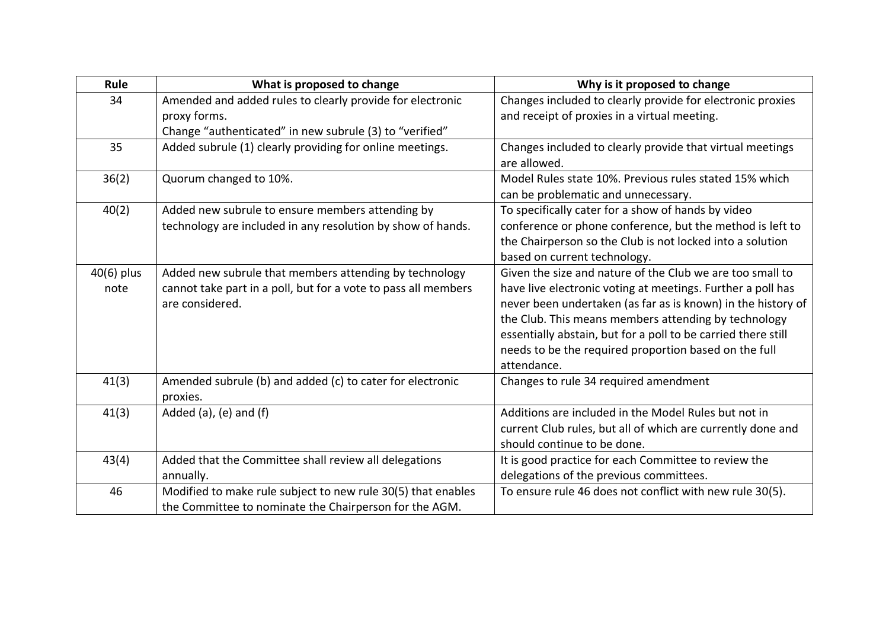| Rule       | What is proposed to change                                     | Why is it proposed to change                                                                  |
|------------|----------------------------------------------------------------|-----------------------------------------------------------------------------------------------|
| 34         | Amended and added rules to clearly provide for electronic      | Changes included to clearly provide for electronic proxies                                    |
|            | proxy forms.                                                   | and receipt of proxies in a virtual meeting.                                                  |
|            | Change "authenticated" in new subrule (3) to "verified"        |                                                                                               |
| 35         | Added subrule (1) clearly providing for online meetings.       | Changes included to clearly provide that virtual meetings<br>are allowed.                     |
| 36(2)      | Quorum changed to 10%.                                         | Model Rules state 10%. Previous rules stated 15% which<br>can be problematic and unnecessary. |
| 40(2)      | Added new subrule to ensure members attending by               | To specifically cater for a show of hands by video                                            |
|            | technology are included in any resolution by show of hands.    | conference or phone conference, but the method is left to                                     |
|            |                                                                | the Chairperson so the Club is not locked into a solution                                     |
|            |                                                                | based on current technology.                                                                  |
| 40(6) plus | Added new subrule that members attending by technology         | Given the size and nature of the Club we are too small to                                     |
| note       | cannot take part in a poll, but for a vote to pass all members | have live electronic voting at meetings. Further a poll has                                   |
|            | are considered.                                                | never been undertaken (as far as is known) in the history of                                  |
|            |                                                                | the Club. This means members attending by technology                                          |
|            |                                                                | essentially abstain, but for a poll to be carried there still                                 |
|            |                                                                | needs to be the required proportion based on the full                                         |
|            |                                                                | attendance.                                                                                   |
| 41(3)      | Amended subrule (b) and added (c) to cater for electronic      | Changes to rule 34 required amendment                                                         |
|            | proxies.                                                       |                                                                                               |
| 41(3)      | Added (a), (e) and (f)                                         | Additions are included in the Model Rules but not in                                          |
|            |                                                                | current Club rules, but all of which are currently done and                                   |
|            |                                                                | should continue to be done.                                                                   |
| 43(4)      | Added that the Committee shall review all delegations          | It is good practice for each Committee to review the                                          |
|            | annually.                                                      | delegations of the previous committees.                                                       |
| 46         | Modified to make rule subject to new rule 30(5) that enables   | To ensure rule 46 does not conflict with new rule 30(5).                                      |
|            | the Committee to nominate the Chairperson for the AGM.         |                                                                                               |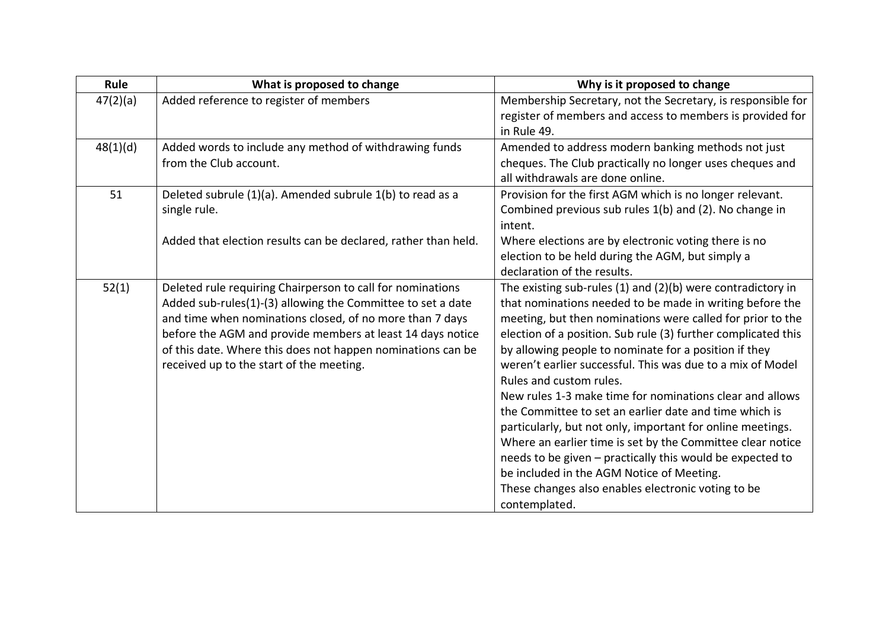| Rule     | What is proposed to change                                     | Why is it proposed to change                                    |
|----------|----------------------------------------------------------------|-----------------------------------------------------------------|
| 47(2)(a) | Added reference to register of members                         | Membership Secretary, not the Secretary, is responsible for     |
|          |                                                                | register of members and access to members is provided for       |
|          |                                                                | in Rule 49.                                                     |
| 48(1)(d) | Added words to include any method of withdrawing funds         | Amended to address modern banking methods not just              |
|          | from the Club account.                                         | cheques. The Club practically no longer uses cheques and        |
|          |                                                                | all withdrawals are done online.                                |
| 51       | Deleted subrule (1)(a). Amended subrule 1(b) to read as a      | Provision for the first AGM which is no longer relevant.        |
|          | single rule.                                                   | Combined previous sub rules 1(b) and (2). No change in          |
|          |                                                                | intent.                                                         |
|          | Added that election results can be declared, rather than held. | Where elections are by electronic voting there is no            |
|          |                                                                | election to be held during the AGM, but simply a                |
|          |                                                                | declaration of the results.                                     |
| 52(1)    | Deleted rule requiring Chairperson to call for nominations     | The existing sub-rules $(1)$ and $(2)(b)$ were contradictory in |
|          | Added sub-rules(1)-(3) allowing the Committee to set a date    | that nominations needed to be made in writing before the        |
|          | and time when nominations closed, of no more than 7 days       | meeting, but then nominations were called for prior to the      |
|          | before the AGM and provide members at least 14 days notice     | election of a position. Sub rule (3) further complicated this   |
|          | of this date. Where this does not happen nominations can be    | by allowing people to nominate for a position if they           |
|          | received up to the start of the meeting.                       | weren't earlier successful. This was due to a mix of Model      |
|          |                                                                | Rules and custom rules.                                         |
|          |                                                                | New rules 1-3 make time for nominations clear and allows        |
|          |                                                                | the Committee to set an earlier date and time which is          |
|          |                                                                | particularly, but not only, important for online meetings.      |
|          |                                                                | Where an earlier time is set by the Committee clear notice      |
|          |                                                                | needs to be given - practically this would be expected to       |
|          |                                                                | be included in the AGM Notice of Meeting.                       |
|          |                                                                | These changes also enables electronic voting to be              |
|          |                                                                | contemplated.                                                   |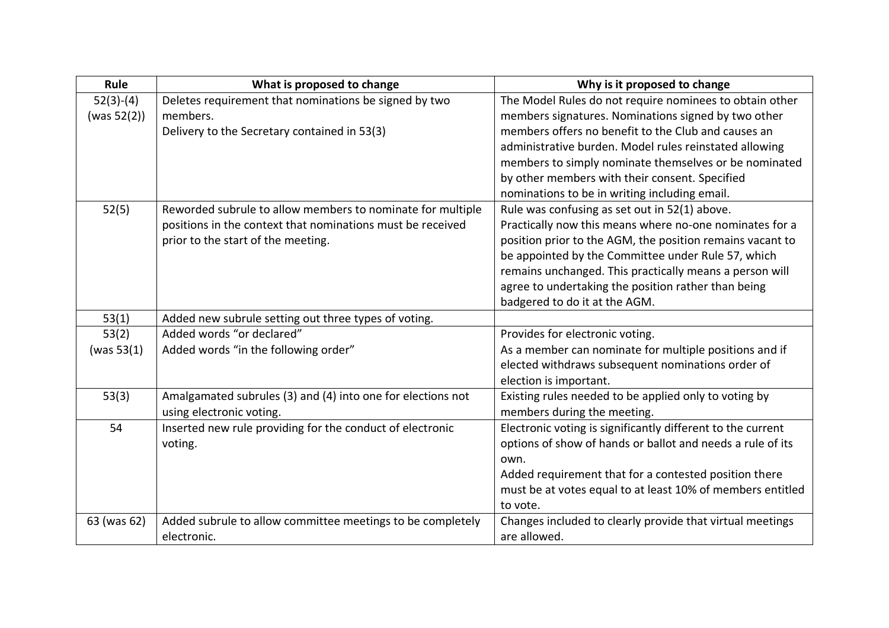| Rule           | What is proposed to change                                  | Why is it proposed to change                                |
|----------------|-------------------------------------------------------------|-------------------------------------------------------------|
| $52(3)-(4)$    | Deletes requirement that nominations be signed by two       | The Model Rules do not require nominees to obtain other     |
| (was $52(2)$ ) | members.                                                    | members signatures. Nominations signed by two other         |
|                | Delivery to the Secretary contained in 53(3)                | members offers no benefit to the Club and causes an         |
|                |                                                             | administrative burden. Model rules reinstated allowing      |
|                |                                                             | members to simply nominate themselves or be nominated       |
|                |                                                             | by other members with their consent. Specified              |
|                |                                                             | nominations to be in writing including email.               |
| 52(5)          | Reworded subrule to allow members to nominate for multiple  | Rule was confusing as set out in 52(1) above.               |
|                | positions in the context that nominations must be received  | Practically now this means where no-one nominates for a     |
|                | prior to the start of the meeting.                          | position prior to the AGM, the position remains vacant to   |
|                |                                                             | be appointed by the Committee under Rule 57, which          |
|                |                                                             | remains unchanged. This practically means a person will     |
|                |                                                             | agree to undertaking the position rather than being         |
|                |                                                             | badgered to do it at the AGM.                               |
| 53(1)          | Added new subrule setting out three types of voting.        |                                                             |
| 53(2)          | Added words "or declared"                                   | Provides for electronic voting.                             |
| (was $53(1)$   | Added words "in the following order"                        | As a member can nominate for multiple positions and if      |
|                |                                                             | elected withdraws subsequent nominations order of           |
|                |                                                             | election is important.                                      |
| 53(3)          | Amalgamated subrules (3) and (4) into one for elections not | Existing rules needed to be applied only to voting by       |
|                | using electronic voting.                                    | members during the meeting.                                 |
| 54             | Inserted new rule providing for the conduct of electronic   | Electronic voting is significantly different to the current |
|                | voting.                                                     | options of show of hands or ballot and needs a rule of its  |
|                |                                                             | own.                                                        |
|                |                                                             | Added requirement that for a contested position there       |
|                |                                                             | must be at votes equal to at least 10% of members entitled  |
|                |                                                             | to vote.                                                    |
| 63 (was 62)    | Added subrule to allow committee meetings to be completely  | Changes included to clearly provide that virtual meetings   |
|                | electronic.                                                 | are allowed.                                                |